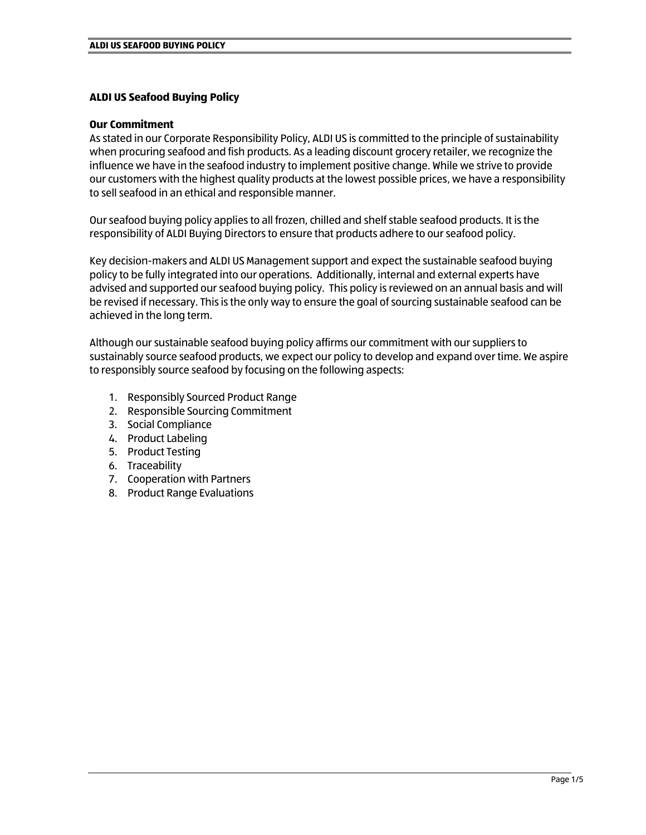# **ALDI US Seafood Buying Policy**

## **Our Commitment**

As stated in our Corporate Responsibility Policy, ALDI US is committed to the principle of sustainability when procuring seafood and fish products. As a leading discount grocery retailer, we recognize the influence we have in the seafood industry to implement positive change. While we strive to provide our customers with the highest quality products at the lowest possible prices, we have a responsibility to sell seafood in an ethical and responsible manner.

Our seafood buying policy applies to all frozen, chilled and shelf stable seafood products. It is the responsibility of ALDI Buying Directors to ensure that products adhere to our seafood policy.

Key decision-makers and ALDI US Management support and expect the sustainable seafood buying policy to be fully integrated into our operations. Additionally, internal and external experts have advised and supported our seafood buying policy. This policy is reviewed on an annual basis and will be revised if necessary. This is the only way to ensure the goal of sourcing sustainable seafood can be achieved in the long term.

Although our sustainable seafood buying policy affirms our commitment with our suppliers to sustainably source seafood products, we expect our policy to develop and expand over time. We aspire to responsibly source seafood by focusing on the following aspects:

- 1. Responsibly Sourced Product Range
- 2. Responsible Sourcing Commitment
- 3. Social Compliance
- 4. Product Labeling
- 5. Product Testing
- 6. Traceability
- 7. Cooperation with Partners
- 8. Product Range Evaluations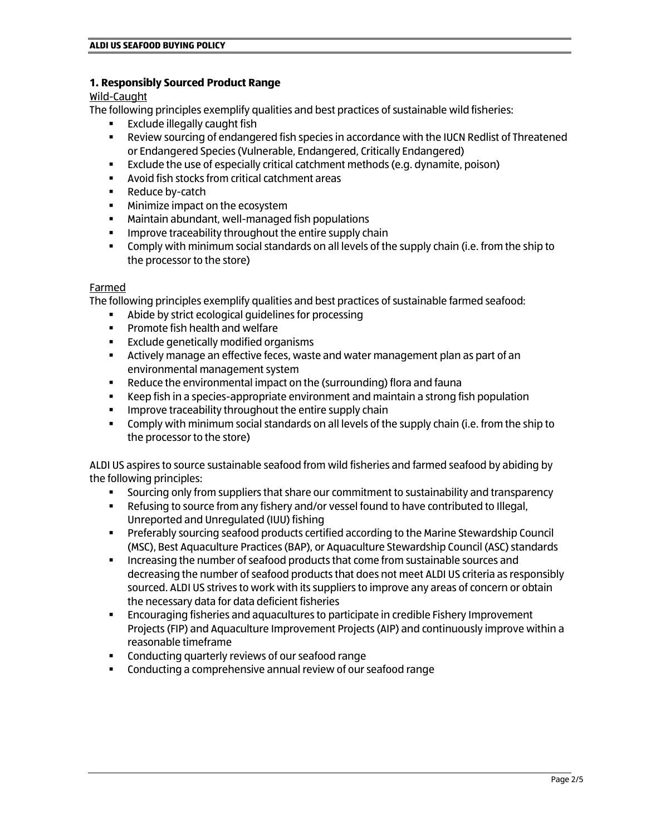## **1. Responsibly Sourced Product Range**

#### Wild-Caught

The following principles exemplify qualities and best practices of sustainable wild fisheries:

- Exclude illegally caught fish
- **EXECT:** Review sourcing of endangered fish species in accordance with the IUCN Redlist of Threatened or Endangered Species (Vulnerable, Endangered, Critically Endangered)
- Exclude the use of especially critical catchment methods (e.g. dynamite, poison)
- Avoid fish stocks from critical catchment areas
- Reduce by-catch
- Minimize impact on the ecosystem
- Maintain abundant, well-managed fish populations
- Improve traceability throughout the entire supply chain
- **Comply with minimum social standards on all levels of the supply chain (i.e. from the ship to** the processor to the store)

## Farmed

The following principles exemplify qualities and best practices of sustainable farmed seafood:

- Abide by strict ecological guidelines for processing
- Promote fish health and welfare
- Exclude genetically modified organisms
- **EXECT** Actively manage an effective feces, waste and water management plan as part of an environmental management system
- Reduce the environmental impact on the (surrounding) flora and fauna
- Keep fish in a species-appropriate environment and maintain a strong fish population
- **EXECT** Improve traceability throughout the entire supply chain
- **Comply with minimum social standards on all levels of the supply chain (i.e. from the ship to** the processor to the store)

ALDI US aspires to source sustainable seafood from wild fisheries and farmed seafood by abiding by the following principles:

- Sourcing only from suppliers that share our commitment to sustainability and transparency
- Refusing to source from any fishery and/or vessel found to have contributed to Illegal, Unreported and Unregulated (IUU) fishing
- **Preferably sourcing seafood products certified according to the Marine Stewardship Council** (MSC), Best Aquaculture Practices (BAP), or Aquaculture Stewardship Council (ASC) standards
- Increasing the number of seafood products that come from sustainable sources and decreasing the number of seafood products that does not meet ALDI US criteria as responsibly sourced. ALDI US strives to work with its suppliers to improve any areas of concern or obtain the necessary data for data deficient fisheries
- **Encouraging fisheries and aquacultures to participate in credible Fishery Improvement** Projects (FIP) and Aquaculture Improvement Projects (AIP) and continuously improve within a reasonable timeframe
- Conducting quarterly reviews of our seafood range
- Conducting a comprehensive annual review of our seafood range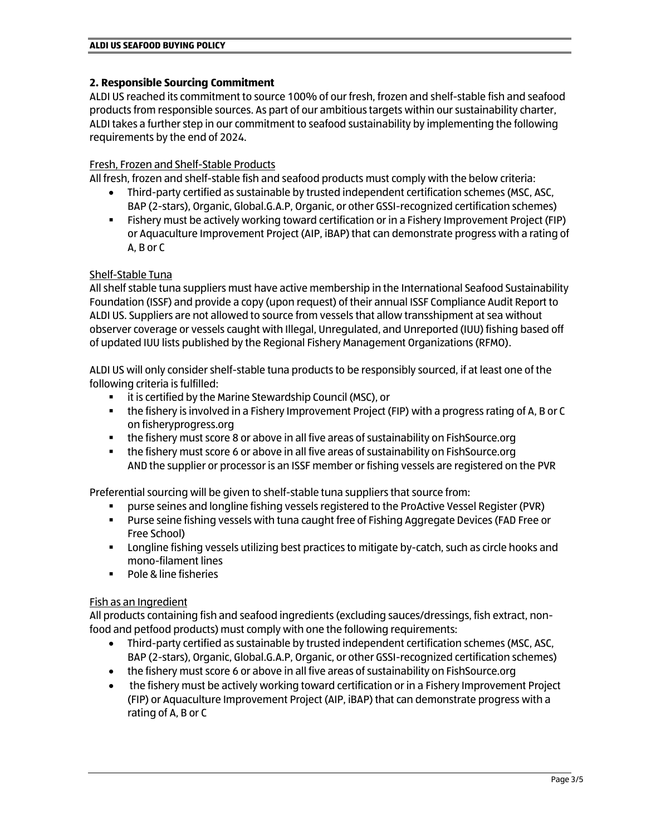## **2. Responsible Sourcing Commitment**

ALDI US reached its commitment to source 100% of our fresh, frozen and shelf-stable fish and seafood products from responsible sources. As part of our ambitious targets within our sustainability charter, ALDI takes a further step in our commitment to seafood sustainability by implementing the following requirements by the end of 2024.

## Fresh, Frozen and Shelf-Stable Products

All fresh, frozen and shelf-stable fish and seafood products must comply with the below criteria:

- Third-party certified as sustainable by trusted independent certification schemes (MSC, ASC, BAP (2-stars), Organic, Global.G.A.P, Organic, or other GSSI-recognized certification schemes)
- **EXECT:** Fishery must be actively working toward certification or in a Fishery Improvement Project (FIP) or Aquaculture Improvement Project (AIP, iBAP) that can demonstrate progress with a rating of A, B or C

# Shelf-Stable Tuna

All shelf stable tuna suppliers must have active membership in the International Seafood Sustainability Foundation (ISSF) and provide a copy (upon request) of their annual ISSF Compliance Audit Report to ALDI US. Suppliers are not allowed to source from vessels that allow transshipment at sea without observer coverage or vessels caught with Illegal, Unregulated, and Unreported (IUU) fishing based off of updated IUU lists published by the Regional Fishery Management Organizations (RFMO).

ALDI US will only consider shelf-stable tuna products to be responsibly sourced, if at least one of the following criteria is fulfilled:

- it is certified by the Marine Stewardship Council (MSC), or
- the fishery is involved in a Fishery Improvement Project (FIP) with a progress rating of A, B or C on fisheryprogress.org
- the fishery must score 8 or above in all five areas of sustainability on FishSource.org
- the fishery must score 6 or above in all five areas of sustainability on FishSource.org AND the supplier or processor is an ISSF member or fishing vessels are registered on the PVR

Preferential sourcing will be given to shelf-stable tuna suppliers that source from:

- purse seines and longline fishing vessels registered to the ProActive Vessel Register (PVR)
- Purse seine fishing vessels with tuna caught free of Fishing Aggregate Devices (FAD Free or Free School)
- Longline fishing vessels utilizing best practices to mitigate by-catch, such as circle hooks and mono-filament lines
- Pole & line fisheries

#### Fish as an Ingredient

All products containing fish and seafood ingredients (excluding sauces/dressings, fish extract, nonfood and petfood products) must comply with one the following requirements:

- Third-party certified as sustainable by trusted independent certification schemes (MSC, ASC, BAP (2-stars), Organic, Global.G.A.P, Organic, or other GSSI-recognized certification schemes)
- the fishery must score 6 or above in all five areas of sustainability on FishSource.org
- the fishery must be actively working toward certification or in a Fishery Improvement Project (FIP) or Aquaculture Improvement Project (AIP, iBAP) that can demonstrate progress with a rating of A, B or C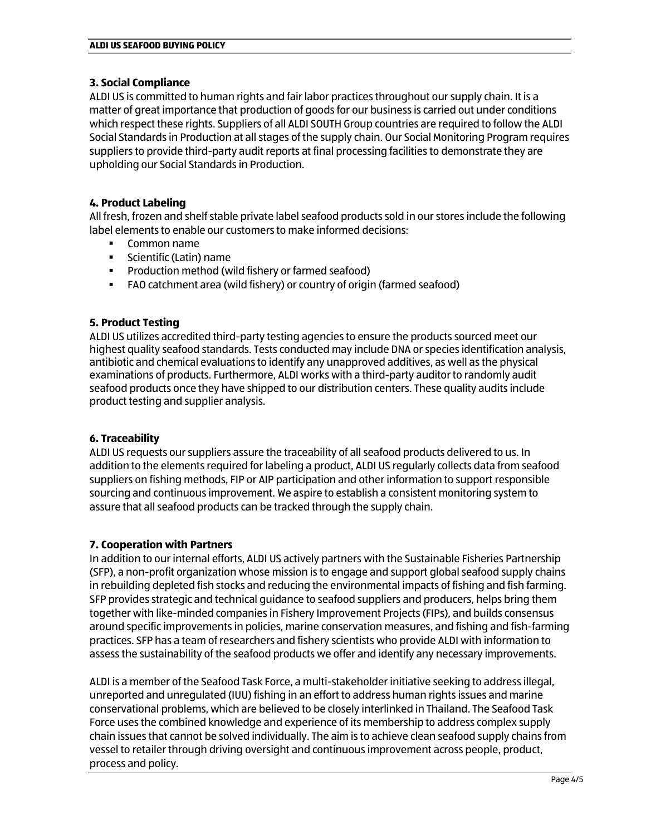# **3. Social Compliance**

ALDI US is committed to human rights and fair labor practices throughout our supply chain. It is a matter of great importance that production of goods for our business is carried out under conditions which respect these rights. Suppliers of all ALDI SOUTH Group countries are required to follow the ALDI Social Standards in Production at all stages of the supply chain. Our Social Monitoring Program requires suppliers to provide third-party audit reports at final processing facilities to demonstrate they are upholding our Social Standards in Production.

# **4. Product Labeling**

All fresh, frozen and shelf stable private label seafood products sold in our stores include the following label elements to enable our customers to make informed decisions:

- Common name
- Scientific (Latin) name
- Production method (wild fishery or farmed seafood)
- FAO catchment area (wild fishery) or country of origin (farmed seafood)

# **5. Product Testing**

ALDI US utilizes accredited third-party testing agencies to ensure the products sourced meet our highest quality seafood standards. Tests conducted may include DNA or species identification analysis, antibiotic and chemical evaluations to identify any unapproved additives, as well as the physical examinations of products. Furthermore, ALDI works with a third-party auditor to randomly audit seafood products once they have shipped to our distribution centers. These quality audits include product testing and supplier analysis.

# **6. Traceability**

ALDI US requests our suppliers assure the traceability of all seafood products delivered to us. In addition to the elements required for labeling a product, ALDI US regularly collects data from seafood suppliers on fishing methods, FIP or AIP participation and other information to support responsible sourcing and continuous improvement. We aspire to establish a consistent monitoring system to assure that all seafood products can be tracked through the supply chain.

# **7. Cooperation with Partners**

In addition to our internal efforts, ALDI US actively partners with the Sustainable Fisheries Partnership (SFP), a non-profit organization whose mission is to engage and support global seafood supply chains in rebuilding depleted fish stocks and reducing the environmental impacts of fishing and fish farming. SFP provides strategic and technical guidance to seafood suppliers and producers, helps bring them together with like-minded companies in Fishery Improvement Projects (FIPs), and builds consensus around specific improvements in policies, marine conservation measures, and fishing and fish-farming practices. SFP has a team of researchers and fishery scientists who provide ALDI with information to assess the sustainability of the seafood products we offer and identify any necessary improvements.

ALDI is a member of the Seafood Task Force, a multi-stakeholder initiative seeking to address illegal, unreported and unregulated (IUU) fishing in an effort to address human rights issues and marine conservational problems, which are believed to be closely interlinked in Thailand. The Seafood Task Force uses the combined knowledge and experience of its membership to address complex supply chain issues that cannot be solved individually. The aim is to achieve clean seafood supply chains from vessel to retailer through driving oversight and continuous improvement across people, product, process and policy.